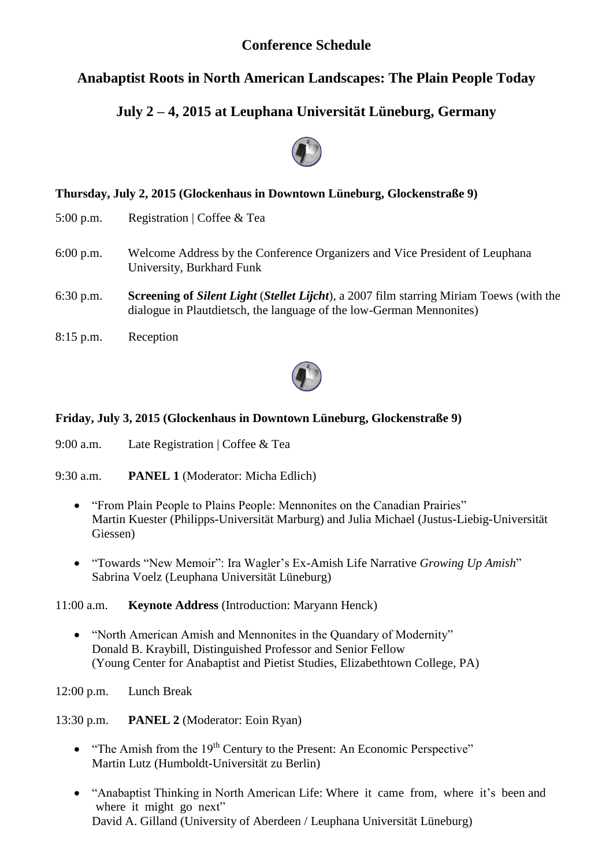## **Conference Schedule**

## **Anabaptist Roots in North American Landscapes: The Plain People Today**

# **July 2 – 4, 2015 at Leuphana Universität Lüneburg, Germany**



## **Thursday, July 2, 2015 (Glockenhaus in Downtown Lüneburg, Glockenstraße 9)**

- 5:00 p.m. Registration | Coffee & Tea
- 6:00 p.m. Welcome Address by the Conference Organizers and Vice President of Leuphana University, Burkhard Funk
- 6:30 p.m. **Screening of** *Silent Light* (*Stellet Lijcht*), a 2007 film starring Miriam Toews (with the dialogue in Plautdietsch, the language of the low-German Mennonites)
- 8:15 p.m. Reception



### **Friday, July 3, 2015 (Glockenhaus in Downtown Lüneburg, Glockenstraße 9)**

- 9:00 a.m. Late Registration | Coffee & Tea
- 9:30 a.m. **PANEL 1** (Moderator: Micha Edlich)
	- "From Plain People to Plains People: Mennonites on the Canadian Prairies" Martin Kuester (Philipps-Universität Marburg) and Julia Michael (Justus-Liebig-Universität Giessen)
	- "Towards "New Memoir": Ira Wagler's Ex-Amish Life Narrative *Growing Up Amish*" Sabrina Voelz (Leuphana Universität Lüneburg)

11:00 a.m. **Keynote Address** (Introduction: Maryann Henck)

- "North American Amish and Mennonites in the Quandary of Modernity" Donald B. Kraybill, Distinguished Professor and Senior Fellow (Young Center for Anabaptist and Pietist Studies, Elizabethtown College, PA)
- 12:00 p.m. Lunch Break

13:30 p.m. **PANEL 2** (Moderator: Eoin Ryan)

- $\bullet$  "The Amish from the 19<sup>th</sup> Century to the Present: An Economic Perspective" Martin Lutz (Humboldt-Universität zu Berlin)
- "Anabaptist Thinking in North American Life: Where it came from, where it's been and where it might go next" David A. Gilland (University of Aberdeen / Leuphana Universität Lüneburg)